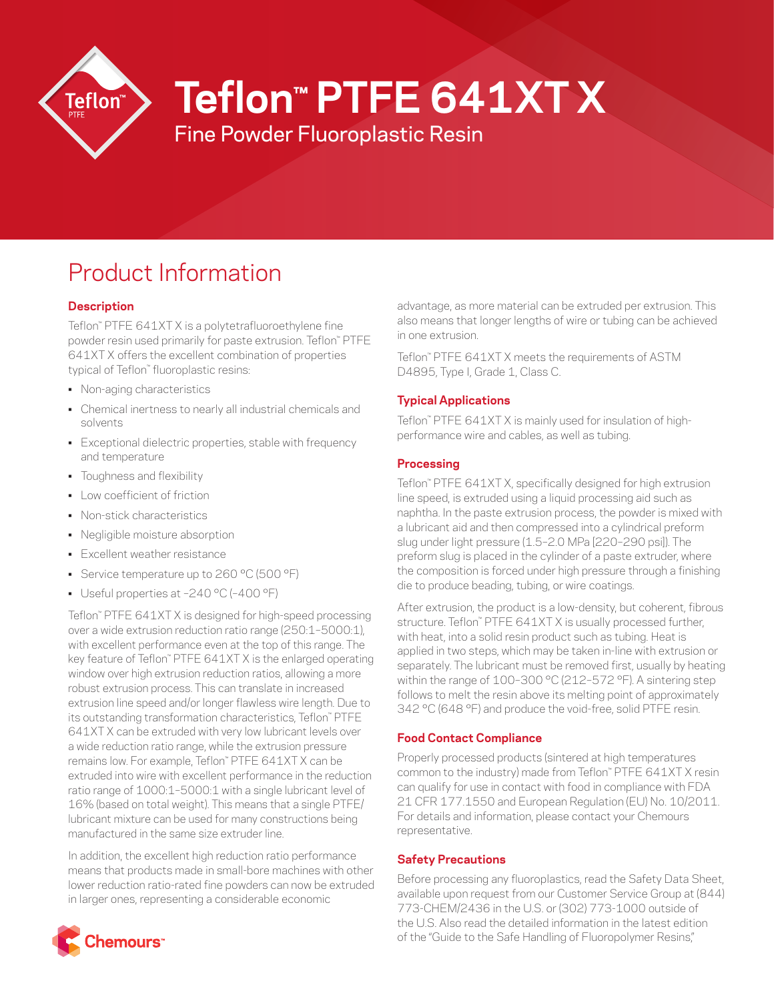

# **Teflon™ PTFE 641XT X**

Fine Powder Fluoroplastic Resin

# Product Information

# **Description**

Teflon™ PTFE 641XT X is a polytetrafluoroethylene fine powder resin used primarily for paste extrusion. Teflon™ PTFE 641XT X offers the excellent combination of properties typical of Teflon™ fluoroplastic resins:

- Non-aging characteristics
- Chemical inertness to nearly all industrial chemicals and solvents
- Exceptional dielectric properties, stable with frequency and temperature
- Toughness and flexibility
- Low coefficient of friction
- Non-stick characteristics
- Negligible moisture absorption
- Excellent weather resistance
- Service temperature up to 260 °C (500 °F)
- Useful properties at –240 °C (–400 °F)

Teflon™ PTFE 641XT X is designed for high-speed processing over a wide extrusion reduction ratio range (250:1–5000:1), with excellent performance even at the top of this range. The key feature of Teflon™ PTFE 641XT X is the enlarged operating window over high extrusion reduction ratios, allowing a more robust extrusion process. This can translate in increased extrusion line speed and/or longer flawless wire length. Due to its outstanding transformation characteristics, Teflon™ PTFE 641XT X can be extruded with very low lubricant levels over a wide reduction ratio range, while the extrusion pressure remains low. For example, Teflon™ PTFE 641XT X can be extruded into wire with excellent performance in the reduction ratio range of 1000:1–5000:1 with a single lubricant level of 16% (based on total weight). This means that a single PTFE/ lubricant mixture can be used for many constructions being manufactured in the same size extruder line.

In addition, the excellent high reduction ratio performance means that products made in small-bore machines with other lower reduction ratio-rated fine powders can now be extruded in larger ones, representing a considerable economic

:hemours:

advantage, as more material can be extruded per extrusion. This also means that longer lengths of wire or tubing can be achieved in one extrusion.

Teflon™ PTFE 641XT X meets the requirements of ASTM D4895, Type I, Grade 1, Class C.

# **Typical Applications**

Teflon™ PTFE 641XT X is mainly used for insulation of highperformance wire and cables, as well as tubing.

## **Processing**

Teflon™ PTFE 641XT X, specifically designed for high extrusion line speed, is extruded using a liquid processing aid such as naphtha. In the paste extrusion process, the powder is mixed with a lubricant aid and then compressed into a cylindrical preform slug under light pressure (1.5–2.0 MPa [220–290 psi]). The preform slug is placed in the cylinder of a paste extruder, where the composition is forced under high pressure through a finishing die to produce beading, tubing, or wire coatings.

After extrusion, the product is a low-density, but coherent, fibrous structure. Teflon™ PTFE 641XT X is usually processed further, with heat, into a solid resin product such as tubing. Heat is applied in two steps, which may be taken in-line with extrusion or separately. The lubricant must be removed first, usually by heating within the range of 100–300 °C (212–572 °F). A sintering step follows to melt the resin above its melting point of approximately 342 °C (648 °F) and produce the void-free, solid PTFE resin.

# **Food Contact Compliance**

Properly processed products (sintered at high temperatures common to the industry) made from Teflon™ PTFE 641XT X resin can qualify for use in contact with food in compliance with FDA 21 CFR 177.1550 and European Regulation (EU) No. 10/2011. For details and information, please contact your Chemours representative.

## **Safety Precautions**

Before processing any fluoroplastics, read the Safety Data Sheet, available upon request from our Customer Service Group at (844) 773-CHEM/2436 in the U.S. or (302) 773-1000 outside of the U.S. Also read the detailed information in the latest edition of the "Guide to the Safe Handling of Fluoropolymer Resins,"